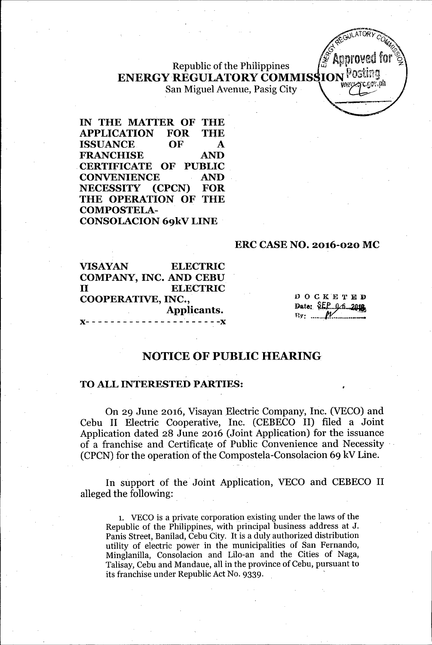Republic of the Philippines ENERGY REGULATORY COMMISSION POS San Miguel Avenue, Pasig City

IN THE MATTER OF THE APPLICATION FOR THE ISSUANCE OF A FRANCHISE AND .CERTIFICATE OF PUBLIC CONVENIENCE AND NECESSITY (CPCN) FOR THE OPERATION OF THE COMPOSTELA-CONSOLACION 69kV LINE

#### ERC CASE NO. 2016-020 MC

VISAYAN ELECTRIC COMPANY, INC. AND CEBU II ELECTRIC COOPERATIVE, INC., Applicants. x- - - - - - - - - - - - - - - \_.-- - - - -x

 $D$  O  $C$  K E T E D Date: SEP 06 2018 By: ......

# NOTICE OF PUBLIC HEARING

#### TO ALL INTERESTED PARTIES:

On 29 June 2016, Visayan Electric Company, Inc. (VECO) and Cebu II Electric Cooperative, Inc. (CEBECO II) filed a Joint Application dated 28 June 2016 (Joint Application) for the issuance of a franchise and Certificate of Public Convenience and Necessity .  $(CPCN)$  for the operation of the Compostela-Consolacion 69 kV Line.

In support of the Joint Application, VECO and CEBECO II alleged the following:

1. VECO is a private corporation existing under the laws of the Republic of the Philippines, with principal business address at J. Panis Street, Banilad, Cebu City. It is a duly authorized distribution utility of electric power in the municipalities of San Fernando, Minglanilla, Consolacion and Lilo-an and the Cities of Naga, Talisay, Cebu and Mandaue, all in the province of Cebu, pursuant to its franchise under Republic Act No. 9339. '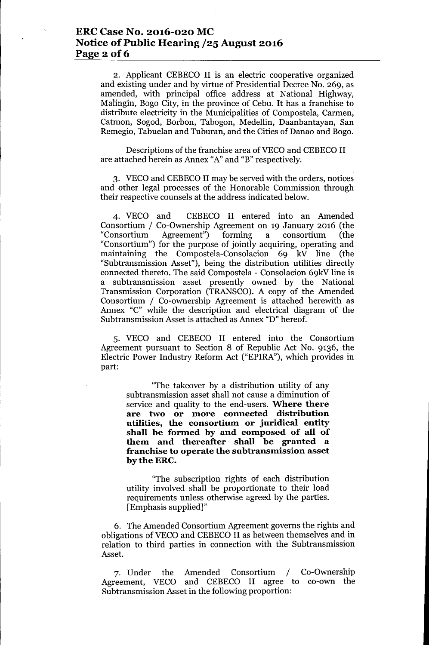### **ERCCase No. 2016-020 MC Notice** of Public **Hearing /25 August 2016 Page** 2 of 6

2. Applicant CEBECO II is an electric cooperative organized and existing under and by virtue of Presidential Decree No. 269, as amended, with principal office address at National Highway, Malingin, Bogo City, in the province of Cebu. It has a franchise to distribute electricity in the Municipalities of Compostela, Carmen, Catmon, Sogod, Borbon, Tabogon, Medellin, Daanbantayan, San Remegio, Tabuelan and Tuburan, and the Cities of Danao and Bogo.

Descriptions of the franchise area of VECO and CEBECO II are attached herein as Annex "A"and "B" respectively.

3. VECO and CEBECO II may be served with the orders, notices and other legal processes of the Honorable Commission through their respective counsels at the address indicated below.

4. VECO and CEBECO II entered into an Amended Consortium *I* Co-Ownership Agreement on 19 January 2016 (the "Consortium Agreement") forming a consortium (the "Consortium") for the purpose of jointly acquiring, operating and maintaining the Compostela-Consolacion 69 kV line (the "Subtransmission Asset"), being the distribution utilities directly connected thereto. The said Compostela - Consolacion 69kV line is a subtransmission asset presently owned by the National Transmission Corporation (TRANSCO). A copy of the Amended Consortium *I* Co-ownership Agreement is attached herewith as Annex "C" while the description and electrical diagram of the Subtransmission Asset is attached as Annex "D" hereof.

5. VECO and CEBECO II entered into the Consortium Agreement pursuant to Section 8 of Republic Act No. 9136, the Electric Power Industry Reform Act ("EPIRA"), which provides in part:

"The takeover by a distribution utility of any subtransmission asset shall not cause a diminution of service and quality to the end-users. **Where there are two or more connected distribution utilities, the consortium or juridical entity shall be formed by and composed of all of them and thereafter shall be granted a franchise to operate the subtransmission asset bytheERC.**

"The subscription rights of each distribution utility involved shall be proportionate to their load requirements unless otherwise agreed by the parties. [Emphasis supplied]"

6. The Amended Consortium Agreement governs the rights and obligations of VECO and CEBECO II as between themselves and in relation to third parties in connection with the Subtransmission Asset.

7. Under the Amended Consortium / Co-Ownership Agreement, VECO and CEBECO II agree to co-own the Subtransmission Asset in the following proportion: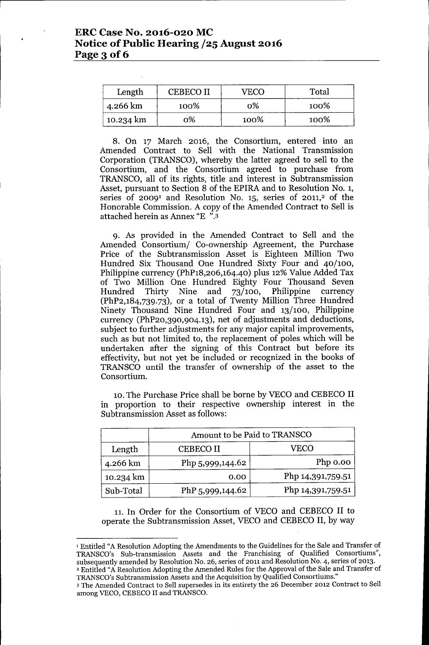| Length    | <b>CEBECO II</b> | VECO | Total |
|-----------|------------------|------|-------|
| 4.266 km  | 100%             | ი%   | 100%  |
| 10.234 km | 0%               | 100% | 100%  |

8. On 17 March 2016, the Consortium, entered into an Amended Contract to Sell with the National Transmission Corporation (TRANSCO), whereby the latter agreed to sell to the Consortium, and the Consortium agreed to purchase from TRANSCO, all of its rights, title and interest in Subtransmission Asset, pursuant to Section 8 of the EPlRA and to Resolution NO.1, series of  $2009<sup>1</sup>$  and Resolution No. 15, series of  $2011<sup>2</sup>$  of the Honorable Commission. A copy of the Amended Contract to Sell is attached herein as Annex "E ".3

9. As provided in the Amended Contract to Sell and the Amended Consortium/ Co-ownership Agreement, the Purchase Price of the Subtransmission Asset is Eighteen Million Two Hundred Six Thousand One Hundred Sixty Four and 40/100, Philippine currency (PhP18,206,164.40) plus 12% Value Added Tax of Two Million One Hundred Eighty Four Thousand Seven Hundred Thirty Nine and 73/100, Philippine currency (PhP2,184,739.73), or a total of Twenty Million Three Hundred Ninety Thousand Nine Hundred Four and 13/100, Philippine currency (PhP20,390,904.13), net of adjustments and deductions, subject to further adjustments for any major capital improvements, such as but not limited to, the replacement of poles which will be undertaken after the signing of this Contract but before its effectivity, but not yet be included or recognized in the books of TRANSCO until the transfer of ownership of the asset to the Consortium.

10. The Purchase Price shall be borne by VECO and CEBECO II in proportion to their respective ownership interest in the Subtransmission Asset as follows:

|           | Amount to be Paid to TRANSCO |                   |  |
|-----------|------------------------------|-------------------|--|
| Length    | <b>CEBECO II</b>             | VECO              |  |
| 4.266 km  | Php 5,999,144.62             | Php 0.00          |  |
| 10.234 km | 0.00                         | Php 14,391,759.51 |  |
| Sub-Total | PhP 5,999,144.62             | Php 14,391,759.51 |  |

11.**In** Order for the Consortium of VECO and CEBECO II to operate the Subtransmission Asset, VECO and CEBECO**II,** by way

<sup>1</sup> Entitled "A Resolution Adopting the Amendments to the Guidelines for the Sale and Transfer of TRANSCO's Sub-transmission Assets and the Franchising of Qualified Consortiums", subsequently amended by Resolution No. 26, series of 2011 and Resolution NO.4, series of 2013. <sup>2</sup> Entitled "A Resolution Adopting the Amended Rules for the Approval of the Sale and Transfer of TRANSCO's Subtransmission Assets and the Acquisition by Qualified Consortiums."

<sup>3</sup> The Amended Contract to Sell supersedes in its entirety the 26 December 2012 Contract to Sell among VECO, CEBECO II and TRANSCO.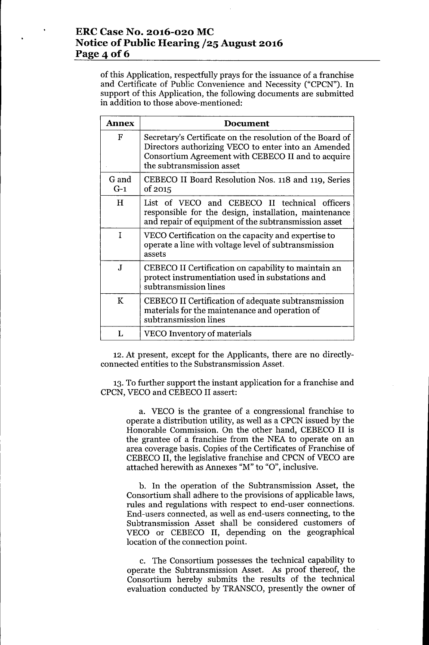# **ERCCase No. 2016-020 MC Notice of Public Hearing /25 August 2016 Page** 4 **of 6**

of this Application, respectfully prays for the issuance of a franchise and Certificate of Public Convenience and Necessity ("CPCN"). **In** support of this Application, the following documents are submitted in addition to those above-mentioned:

| Annex          | <b>Document</b>                                                                                                                                                                                     |  |  |
|----------------|-----------------------------------------------------------------------------------------------------------------------------------------------------------------------------------------------------|--|--|
| F              | Secretary's Certificate on the resolution of the Board of<br>Directors authorizing VECO to enter into an Amended<br>Consortium Agreement with CEBECO II and to acquire<br>the subtransmission asset |  |  |
| G and<br>$G-1$ | CEBECO II Board Resolution Nos. 118 and 119, Series<br>of 2015                                                                                                                                      |  |  |
| H              | List of VECO and CEBECO II technical officers<br>responsible for the design, installation, maintenance<br>and repair of equipment of the subtransmission asset                                      |  |  |
| T              | VECO Certification on the capacity and expertise to<br>operate a line with voltage level of subtransmission<br>assets                                                                               |  |  |
| $\mathbf{J}$   | CEBECO II Certification on capability to maintain an<br>protect instrumentiation used in substations and<br>subtransmission lines                                                                   |  |  |
| K              | CEBECO II Certification of adequate subtransmission<br>materials for the maintenance and operation of<br>subtransmission lines                                                                      |  |  |
| L              | VECO Inventory of materials                                                                                                                                                                         |  |  |

12.At present, except for the Applicants, there are no directlyconnected entities to the Substransmission Asset.

13.To further support the instant application for a franchise and CPCN, VECO and CEBECO II assert:

> a. VECO is the grantee of a congressional franchise to operate a distribution utility, as well as a CPCN issued by the Honorable Commission. On the other hand, CEBECO II is the grantee of a franchise from the NEA to operate on an area coverage basis. Copies of the Certificates of Franchise of CEBECO II, the legislative franchise and CPCN of VECO are attached herewith as Annexes "M" to "O", inclusive.

> b. **In** the operation of the Subtransmission Asset, the Consortium shall adhere to the provisions of applicable laws, rules and regulations with respect *tb* end-user connections. End-users connected, as well as end-users connecting, to the Subtransmission Asset shall be considered customers of VECO or CEBECO II, depending on the geographical location of the connection point.

> c. The Consortium possesses the technical capability to operate the Subtransmission Asset. As proof thereof, the Consortium hereby submits the results of the technical evaluation conducted by TRANSCO, presently the owner of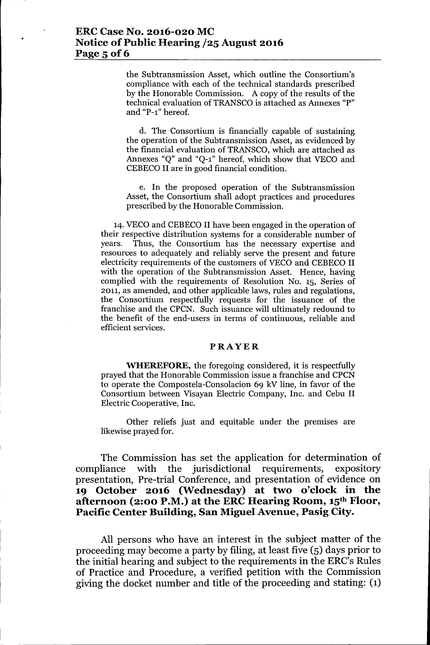### **ERCCase No. 2016-020 MC Notice** of Public **Hearing /25 August 2016 Page 5** of 6

the Subtransmission Asset, which outline the Consortium's compliance with each of the technical standards prescribed by the Honorable Commission. A copy of the results of the technical evaluation of TRANSCO is attached as Annexes "P" and "P-l" hereof.

d. The Consortium is financially capable of sustaining the operation of the Subtransmission Asset, as evidenced by the financial evaluation of TRANSCO, which are attached as Annexes "Q" and "Q-l" hereof, which show that VECO and CEBECO II are in good financial condition.

e. In the proposed operation of the Subtransmission Asset, the Consortium shall adopt practices and procedures prescribed by the Honorable Commission.

14. VECO and CEBECO II have been engaged in the operation of their respective distribution systems for a considerable number of years. Thus, the Consortium has the necessary expertise and resources to adequately and reliably serve the present and future electricity requirements of the customers of VECO and CEBECO II with the operation of the Subtransmission Asset. Hence, having complied with the requirements of Resolution No. 15, Series of 2011, as amended, and other applicable laws, rules and regulations, the Consortium respectfully requests for the issuance of the franchise and the CPCN. Such issuance will ultimately redound to the benefit of the end-users in terms of continuous, reliable and efficient services.

#### **PRAYER**

**WHEREFORE,** the foregoing considered, it is respectfully prayed that the Honorable Commission issue a franchise and CPCN to operate the Compostela-Consolacion 69 kV line, in favor of the Consortium between Visayan Electric Company, Inc. and Cebu II Electric Cooperative, Inc.

Other reliefs just and equitable under the premises are likewise prayed for.

The Commission has set the application for determination of compliance with the jurisdictional requirements, expository presentation, Pre-trial Conference, and presentation of evidence on **19 October 2016 (Wednesday) at two o'clock in the afternoon (2:00 P.M.) at the ERCHearing Room, 15th Floor, Pacific Center Building, San Miguel Avenue, Pasig City.**

All persons who have an interest in the subject matter of the proceeding may become a party by filing, at least five (5) days prior to the initial hearing and subject to the requirements in the ERC's Rules of Practice and Procedure, a verified petition with the Commission giving the docket number and title of the proceeding and stating: (1)